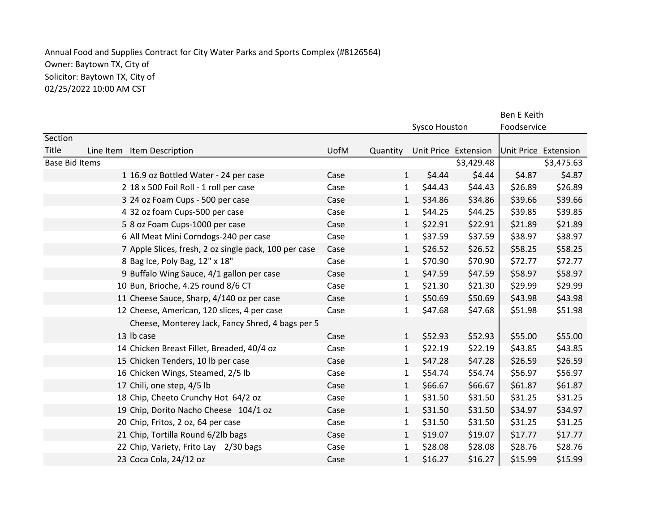## Annual Food and Supplies Contract for City Water Parks and Sports Complex (#8126564) Owner: Baytown TX, City of Solicitor: Baytown TX, City of 02/25/2022 10:00 AM CST

|                       |  |                                                       |      |              | Ben E Keith          |                      |                      |         |
|-----------------------|--|-------------------------------------------------------|------|--------------|----------------------|----------------------|----------------------|---------|
|                       |  |                                                       |      |              | <b>Sysco Houston</b> |                      | Foodservice          |         |
| Section               |  |                                                       |      |              |                      |                      |                      |         |
| Title                 |  | Line Item Item Description                            | UofM | Quantity     |                      | Unit Price Extension | Unit Price Extension |         |
| <b>Base Bid Items</b> |  |                                                       |      |              | \$3,429.48           |                      | \$3,475.63           |         |
|                       |  | 1 16.9 oz Bottled Water - 24 per case                 | Case | $\mathbf{1}$ | \$4.44               | \$4.44               | \$4.87               | \$4.87  |
|                       |  | 2 18 x 500 Foil Roll - 1 roll per case                | Case | $\mathbf{1}$ | \$44.43              | \$44.43              | \$26.89              | \$26.89 |
|                       |  | 3 24 oz Foam Cups - 500 per case                      | Case | $\mathbf{1}$ | \$34.86              | \$34.86              | \$39.66              | \$39.66 |
|                       |  | 4 32 oz foam Cups-500 per case                        | Case | $\mathbf{1}$ | \$44.25              | \$44.25              | \$39.85              | \$39.85 |
|                       |  | 5 8 oz Foam Cups-1000 per case                        | Case | $\mathbf{1}$ | \$22.91              | \$22.91              | \$21.89              | \$21.89 |
|                       |  | 6 All Meat Mini Corndogs-240 per case                 | Case | $\mathbf{1}$ | \$37.59              | \$37.59              | \$38.97              | \$38.97 |
|                       |  | 7 Apple Slices, fresh, 2 oz single pack, 100 per case | Case | $\mathbf{1}$ | \$26.52              | \$26.52              | \$58.25              | \$58.25 |
|                       |  | 8 Bag Ice, Poly Bag, 12" x 18"                        | Case | $\mathbf{1}$ | \$70.90              | \$70.90              | \$72.77              | \$72.77 |
|                       |  | 9 Buffalo Wing Sauce, 4/1 gallon per case             | Case | $\mathbf{1}$ | \$47.59              | \$47.59              | \$58.97              | \$58.97 |
|                       |  | 10 Bun, Brioche, 4.25 round 8/6 CT                    | Case | $\mathbf{1}$ | \$21.30              | \$21.30              | \$29.99              | \$29.99 |
|                       |  | 11 Cheese Sauce, Sharp, 4/140 oz per case             | Case | 1            | \$50.69              | \$50.69              | \$43.98              | \$43.98 |
|                       |  | 12 Cheese, American, 120 slices, 4 per case           | Case | $\mathbf{1}$ | \$47.68              | \$47.68              | \$51.98              | \$51.98 |
|                       |  | Cheese, Monterey Jack, Fancy Shred, 4 bags per 5      |      |              |                      |                      |                      |         |
|                       |  | 13 lb case                                            | Case | $\mathbf{1}$ | \$52.93              | \$52.93              | \$55.00              | \$55.00 |
|                       |  | 14 Chicken Breast Fillet, Breaded, 40/4 oz            | Case | 1            | \$22.19              | \$22.19              | \$43.85              | \$43.85 |
|                       |  | 15 Chicken Tenders, 10 lb per case                    | Case | $\mathbf{1}$ | \$47.28              | \$47.28              | \$26.59              | \$26.59 |
|                       |  | 16 Chicken Wings, Steamed, 2/5 lb                     | Case | $\mathbf{1}$ | \$54.74              | \$54.74              | \$56.97              | \$56.97 |
|                       |  | 17 Chili, one step, 4/5 lb                            | Case | $\mathbf{1}$ | \$66.67              | \$66.67              | \$61.87              | \$61.87 |
|                       |  | 18 Chip, Cheeto Crunchy Hot 64/2 oz                   | Case | $\mathbf{1}$ | \$31.50              | \$31.50              | \$31.25              | \$31.25 |
|                       |  | 19 Chip, Dorito Nacho Cheese 104/1 oz                 | Case | $\mathbf{1}$ | \$31.50              | \$31.50              | \$34.97              | \$34.97 |
|                       |  | 20 Chip, Fritos, 2 oz, 64 per case                    | Case | $\mathbf{1}$ | \$31.50              | \$31.50              | \$31.25              | \$31.25 |
|                       |  | 21 Chip, Tortilla Round 6/2lb bags                    | Case | $\mathbf{1}$ | \$19.07              | \$19.07              | \$17.77              | \$17.77 |
|                       |  | 22 Chip, Variety, Frito Lay 2/30 bags                 | Case | $\mathbf{1}$ | \$28.08              | \$28.08              | \$28.76              | \$28.76 |
|                       |  | 23 Coca Cola, 24/12 oz                                | Case | $\mathbf{1}$ | \$16.27              | \$16.27              | \$15.99              | \$15.99 |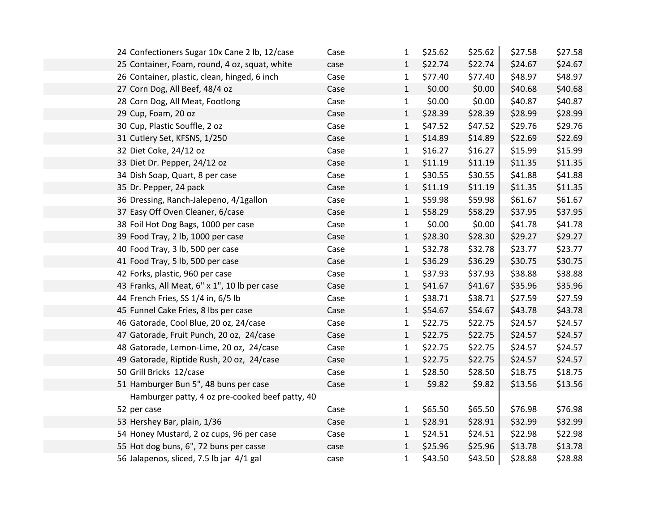| 24 Confectioners Sugar 10x Cane 2 lb, 12/case   | Case | 1            | \$25.62 | \$25.62 | \$27.58 | \$27.58 |
|-------------------------------------------------|------|--------------|---------|---------|---------|---------|
| 25 Container, Foam, round, 4 oz, squat, white   | case | $\mathbf{1}$ | \$22.74 | \$22.74 | \$24.67 | \$24.67 |
| 26 Container, plastic, clean, hinged, 6 inch    | Case | 1            | \$77.40 | \$77.40 | \$48.97 | \$48.97 |
| 27 Corn Dog, All Beef, 48/4 oz                  | Case | $\mathbf{1}$ | \$0.00  | \$0.00  | \$40.68 | \$40.68 |
| 28 Corn Dog, All Meat, Footlong                 | Case | $\mathbf{1}$ | \$0.00  | \$0.00  | \$40.87 | \$40.87 |
| 29 Cup, Foam, 20 oz                             | Case | $\mathbf{1}$ | \$28.39 | \$28.39 | \$28.99 | \$28.99 |
| 30 Cup, Plastic Souffle, 2 oz                   | Case | 1            | \$47.52 | \$47.52 | \$29.76 | \$29.76 |
| 31 Cutlery Set, KFSNS, 1/250                    | Case | $\mathbf{1}$ | \$14.89 | \$14.89 | \$22.69 | \$22.69 |
| 32 Diet Coke, 24/12 oz                          | Case | $\mathbf{1}$ | \$16.27 | \$16.27 | \$15.99 | \$15.99 |
| 33 Diet Dr. Pepper, 24/12 oz                    | Case | $\mathbf{1}$ | \$11.19 | \$11.19 | \$11.35 | \$11.35 |
| 34 Dish Soap, Quart, 8 per case                 | Case | 1            | \$30.55 | \$30.55 | \$41.88 | \$41.88 |
| 35 Dr. Pepper, 24 pack                          | Case | $\mathbf{1}$ | \$11.19 | \$11.19 | \$11.35 | \$11.35 |
| 36 Dressing, Ranch-Jalepeno, 4/1gallon          | Case | $\mathbf{1}$ | \$59.98 | \$59.98 | \$61.67 | \$61.67 |
| 37 Easy Off Oven Cleaner, 6/case                | Case | $\mathbf{1}$ | \$58.29 | \$58.29 | \$37.95 | \$37.95 |
| 38 Foil Hot Dog Bags, 1000 per case             | Case | $\mathbf{1}$ | \$0.00  | \$0.00  | \$41.78 | \$41.78 |
| 39 Food Tray, 2 lb, 1000 per case               | Case | $\mathbf{1}$ | \$28.30 | \$28.30 | \$29.27 | \$29.27 |
| 40 Food Tray, 3 lb, 500 per case                | Case | $\mathbf{1}$ | \$32.78 | \$32.78 | \$23.77 | \$23.77 |
| 41 Food Tray, 5 lb, 500 per case                | Case | $\mathbf{1}$ | \$36.29 | \$36.29 | \$30.75 | \$30.75 |
| 42 Forks, plastic, 960 per case                 | Case | $\mathbf 1$  | \$37.93 | \$37.93 | \$38.88 | \$38.88 |
| 43 Franks, All Meat, 6" x 1", 10 lb per case    | Case | $\mathbf{1}$ | \$41.67 | \$41.67 | \$35.96 | \$35.96 |
| 44 French Fries, SS 1/4 in, 6/5 lb              | Case | 1            | \$38.71 | \$38.71 | \$27.59 | \$27.59 |
| 45 Funnel Cake Fries, 8 lbs per case            | Case | $\mathbf{1}$ | \$54.67 | \$54.67 | \$43.78 | \$43.78 |
| 46 Gatorade, Cool Blue, 20 oz, 24/case          | Case | $\mathbf{1}$ | \$22.75 | \$22.75 | \$24.57 | \$24.57 |
| 47 Gatorade, Fruit Punch, 20 oz, 24/case        | Case | $\mathbf{1}$ | \$22.75 | \$22.75 | \$24.57 | \$24.57 |
| 48 Gatorade, Lemon-Lime, 20 oz, 24/case         | Case | $\mathbf{1}$ | \$22.75 | \$22.75 | \$24.57 | \$24.57 |
| 49 Gatorade, Riptide Rush, 20 oz, 24/case       | Case | $\mathbf{1}$ | \$22.75 | \$22.75 | \$24.57 | \$24.57 |
| 50 Grill Bricks 12/case                         | Case | 1            | \$28.50 | \$28.50 | \$18.75 | \$18.75 |
| 51 Hamburger Bun 5", 48 buns per case           | Case | $\mathbf{1}$ | \$9.82  | \$9.82  | \$13.56 | \$13.56 |
| Hamburger patty, 4 oz pre-cooked beef patty, 40 |      |              |         |         |         |         |
| 52 per case                                     | Case | $\mathbf{1}$ | \$65.50 | \$65.50 | \$76.98 | \$76.98 |
| 53 Hershey Bar, plain, 1/36                     | Case | $\mathbf{1}$ | \$28.91 | \$28.91 | \$32.99 | \$32.99 |
| 54 Honey Mustard, 2 oz cups, 96 per case        | Case | 1            | \$24.51 | \$24.51 | \$22.98 | \$22.98 |
| 55 Hot dog buns, 6", 72 buns per casse          | case | $\mathbf{1}$ | \$25.96 | \$25.96 | \$13.78 | \$13.78 |
| 56 Jalapenos, sliced, 7.5 lb jar 4/1 gal        | case | $\mathbf{1}$ | \$43.50 | \$43.50 | \$28.88 | \$28.88 |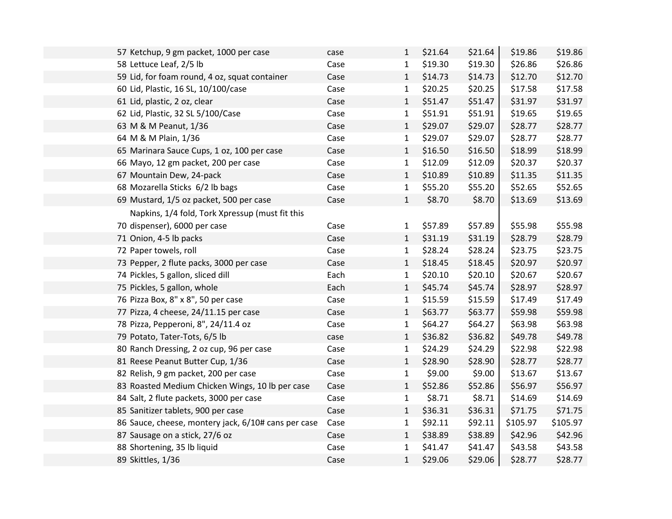| 57 Ketchup, 9 gm packet, 1000 per case              | case | 1            | \$21.64 | \$21.64 | \$19.86  | \$19.86  |
|-----------------------------------------------------|------|--------------|---------|---------|----------|----------|
| 58 Lettuce Leaf, 2/5 lb                             | Case | $\mathbf{1}$ | \$19.30 | \$19.30 | \$26.86  | \$26.86  |
| 59 Lid, for foam round, 4 oz, squat container       | Case | $\mathbf{1}$ | \$14.73 | \$14.73 | \$12.70  | \$12.70  |
| 60 Lid, Plastic, 16 SL, 10/100/case                 | Case | $\mathbf{1}$ | \$20.25 | \$20.25 | \$17.58  | \$17.58  |
| 61 Lid, plastic, 2 oz, clear                        | Case | 1            | \$51.47 | \$51.47 | \$31.97  | \$31.97  |
| 62 Lid, Plastic, 32 SL 5/100/Case                   | Case | 1            | \$51.91 | \$51.91 | \$19.65  | \$19.65  |
| 63 M & M Peanut, 1/36                               | Case | $\mathbf{1}$ | \$29.07 | \$29.07 | \$28.77  | \$28.77  |
| 64 M & M Plain, 1/36                                | Case | $\mathbf{1}$ | \$29.07 | \$29.07 | \$28.77  | \$28.77  |
| 65 Marinara Sauce Cups, 1 oz, 100 per case          | Case | $\mathbf{1}$ | \$16.50 | \$16.50 | \$18.99  | \$18.99  |
| 66 Mayo, 12 gm packet, 200 per case                 | Case | $\mathbf{1}$ | \$12.09 | \$12.09 | \$20.37  | \$20.37  |
| 67 Mountain Dew, 24-pack                            | Case | $\mathbf{1}$ | \$10.89 | \$10.89 | \$11.35  | \$11.35  |
| 68 Mozarella Sticks 6/2 lb bags                     | Case | $\mathbf{1}$ | \$55.20 | \$55.20 | \$52.65  | \$52.65  |
| 69 Mustard, 1/5 oz packet, 500 per case             | Case | $\mathbf{1}$ | \$8.70  | \$8.70  | \$13.69  | \$13.69  |
| Napkins, 1/4 fold, Tork Xpressup (must fit this     |      |              |         |         |          |          |
| 70 dispenser), 6000 per case                        | Case | 1            | \$57.89 | \$57.89 | \$55.98  | \$55.98  |
| 71 Onion, 4-5 lb packs                              | Case | $\mathbf{1}$ | \$31.19 | \$31.19 | \$28.79  | \$28.79  |
| 72 Paper towels, roll                               | Case | $\mathbf{1}$ | \$28.24 | \$28.24 | \$23.75  | \$23.75  |
| 73 Pepper, 2 flute packs, 3000 per case             | Case | $\mathbf{1}$ | \$18.45 | \$18.45 | \$20.97  | \$20.97  |
| 74 Pickles, 5 gallon, sliced dill                   | Each | $\mathbf{1}$ | \$20.10 | \$20.10 | \$20.67  | \$20.67  |
| 75 Pickles, 5 gallon, whole                         | Each | $\mathbf{1}$ | \$45.74 | \$45.74 | \$28.97  | \$28.97  |
| 76 Pizza Box, 8" x 8", 50 per case                  | Case | $\mathbf{1}$ | \$15.59 | \$15.59 | \$17.49  | \$17.49  |
| 77 Pizza, 4 cheese, 24/11.15 per case               | Case | $\mathbf{1}$ | \$63.77 | \$63.77 | \$59.98  | \$59.98  |
| 78 Pizza, Pepperoni, 8", 24/11.4 oz                 | Case | $\mathbf{1}$ | \$64.27 | \$64.27 | \$63.98  | \$63.98  |
| 79 Potato, Tater-Tots, 6/5 lb                       | case | $\mathbf{1}$ | \$36.82 | \$36.82 | \$49.78  | \$49.78  |
| 80 Ranch Dressing, 2 oz cup, 96 per case            | Case | $\mathbf{1}$ | \$24.29 | \$24.29 | \$22.98  | \$22.98  |
| 81 Reese Peanut Butter Cup, 1/36                    | Case | $\mathbf{1}$ | \$28.90 | \$28.90 | \$28.77  | \$28.77  |
| 82 Relish, 9 gm packet, 200 per case                | Case | $\mathbf{1}$ | \$9.00  | \$9.00  | \$13.67  | \$13.67  |
| 83 Roasted Medium Chicken Wings, 10 lb per case     | Case | $\mathbf{1}$ | \$52.86 | \$52.86 | \$56.97  | \$56.97  |
| 84 Salt, 2 flute packets, 3000 per case             | Case | $\mathbf{1}$ | \$8.71  | \$8.71  | \$14.69  | \$14.69  |
| 85 Sanitizer tablets, 900 per case                  | Case | $\mathbf{1}$ | \$36.31 | \$36.31 | \$71.75  | \$71.75  |
| 86 Sauce, cheese, montery jack, 6/10# cans per case | Case | 1            | \$92.11 | \$92.11 | \$105.97 | \$105.97 |
| 87 Sausage on a stick, 27/6 oz                      | Case | $\mathbf{1}$ | \$38.89 | \$38.89 | \$42.96  | \$42.96  |
| 88 Shortening, 35 lb liquid                         | Case | $\mathbf{1}$ | \$41.47 | \$41.47 | \$43.58  | \$43.58  |
| 89 Skittles, 1/36                                   | Case | $\mathbf{1}$ | \$29.06 | \$29.06 | \$28.77  | \$28.77  |